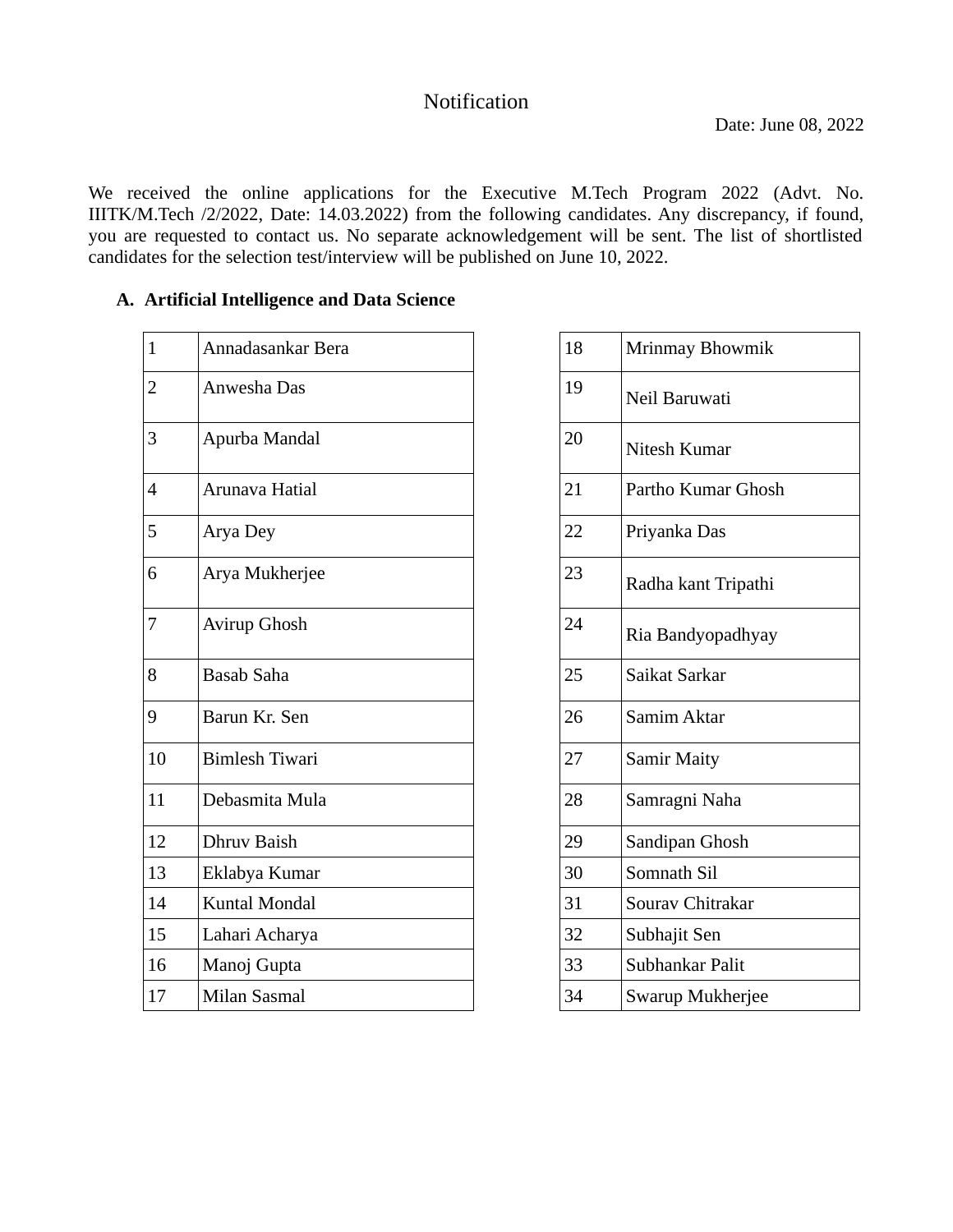## Notification

We received the online applications for the Executive M.Tech Program 2022 (Advt. No. IIITK/M.Tech /2/2022, Date: 14.03.2022) from the following candidates. Any discrepancy, if found, you are requested to contact us. No separate acknowledgement will be sent. The list of shortlisted candidates for the selection test/interview will be published on June 10, 2022.

## **A. Artificial Intelligence and Data Science**

| Annadasankar Bera     | 18 | Mrinmay Bhowmik     |
|-----------------------|----|---------------------|
| Anwesha Das           | 19 | Neil Baruwati       |
| Apurba Mandal         | 20 | Nitesh Kumar        |
| Arunava Hatial        | 21 | Partho Kumar Ghosh  |
| Arya Dey              | 22 | Priyanka Das        |
| Arya Mukherjee        | 23 | Radha kant Tripathi |
| Avirup Ghosh          | 24 | Ria Bandyopadhyay   |
| <b>Basab Saha</b>     | 25 | Saikat Sarkar       |
| Barun Kr. Sen         | 26 | Samim Aktar         |
| <b>Bimlesh Tiwari</b> | 27 | <b>Samir Maity</b>  |
| Debasmita Mula        | 28 | Samragni Naha       |
| Dhruv Baish           | 29 | Sandipan Ghosh      |
| Eklabya Kumar         | 30 | Somnath Sil         |
| Kuntal Mondal         | 31 | Sourav Chitrakar    |
| Lahari Acharya        | 32 | Subhajit Sen        |
| Manoj Gupta           | 33 | Subhankar Palit     |
| <b>Milan Sasmal</b>   | 34 | Swarup Mukherjee    |
|                       |    |                     |

| 18 | Mrinmay Bhowmik     |
|----|---------------------|
| 19 | Neil Baruwati       |
| 20 | Nitesh Kumar        |
| 21 | Partho Kumar Ghosh  |
| 22 | Priyanka Das        |
| 23 | Radha kant Tripathi |
| 24 | Ria Bandyopadhyay   |
| 25 | Saikat Sarkar       |
| 26 | Samim Aktar         |
| 27 | <b>Samir Maity</b>  |
| 28 | Samragni Naha       |
| 29 | Sandipan Ghosh      |
| 30 | Somnath Sil         |
| 31 | Sourav Chitrakar    |
| 32 | Subhajit Sen        |
| 33 | Subhankar Palit     |
| 34 | Swarup Mukherjee    |